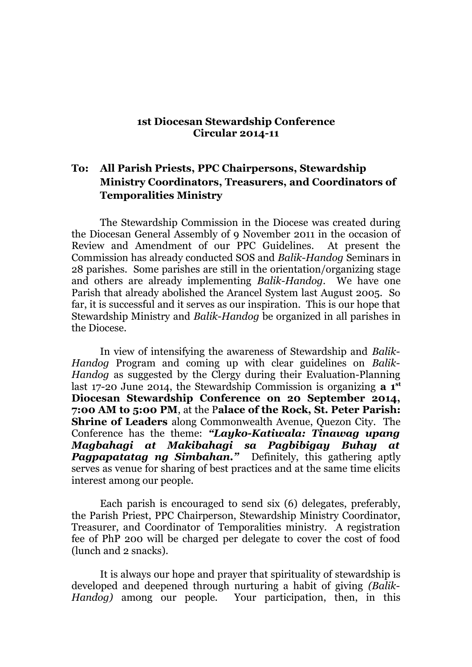## **1st Diocesan Stewardship Conference Circular 2014-11**

## **To: All Parish Priests, PPC Chairpersons, Stewardship Ministry Coordinators, Treasurers, and Coordinators of Temporalities Ministry**

The Stewardship Commission in the Diocese was created during the Diocesan General Assembly of 9 November 2011 in the occasion of Review and Amendment of our PPC Guidelines. At present the Commission has already conducted SOS and *Balik-Handog* Seminars in 28 parishes. Some parishes are still in the orientation/organizing stage and others are already implementing *Balik-Handog*. We have one Parish that already abolished the Arancel System last August 2005. So far, it is successful and it serves as our inspiration. This is our hope that Stewardship Ministry and *Balik-Handog* be organized in all parishes in the Diocese.

In view of intensifying the awareness of Stewardship and *Balik-Handog* Program and coming up with clear guidelines on *Balik-Handog* as suggested by the Clergy during their Evaluation-Planning last 17-20 June 2014, the Stewardship Commission is organizing **a 1st Diocesan Stewardship Conference on 20 September 2014, 7:00 AM to 5:00 PM**, at the P**alace of the Rock, St. Peter Parish: Shrine of Leaders** along Commonwealth Avenue, Quezon City. The Conference has the theme: *"Layko-Katiwala: Tinawag upang Magbahagi at Makibahagi sa Pagbibigay Buhay at Pagpapatatag ng Simbahan."* Definitely, this gathering aptly serves as venue for sharing of best practices and at the same time elicits interest among our people.

Each parish is encouraged to send six (6) delegates, preferably, the Parish Priest, PPC Chairperson, Stewardship Ministry Coordinator, Treasurer, and Coordinator of Temporalities ministry. A registration fee of PhP 200 will be charged per delegate to cover the cost of food (lunch and 2 snacks).

It is always our hope and prayer that spirituality of stewardship is developed and deepened through nurturing a habit of giving *(Balik-Handog)* among our people. Your participation, then, in this